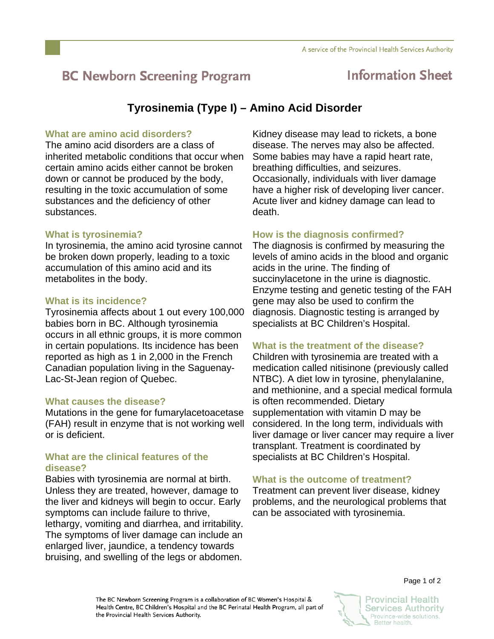# **BC Newborn Screening Program**

## **Information Sheet**

### **Tyrosinemia (Type I) – Amino Acid Disorder**

#### **What are amino acid disorders?**

The amino acid disorders are a class of inherited metabolic conditions that occur when certain amino acids either cannot be broken down or cannot be produced by the body, resulting in the toxic accumulation of some substances and the deficiency of other substances.

#### **What is tyrosinemia?**

In tyrosinemia, the amino acid tyrosine cannot be broken down properly, leading to a toxic accumulation of this amino acid and its metabolites in the body.

#### **What is its incidence?**

Tyrosinemia affects about 1 out every 100,000 babies born in BC. Although tyrosinemia occurs in all ethnic groups, it is more common in certain populations. Its incidence has been reported as high as 1 in 2,000 in the French Canadian population living in the Saguenay-Lac-St-Jean region of Quebec.

#### **What causes the disease?**

Mutations in the gene for fumarylacetoacetase (FAH) result in enzyme that is not working well or is deficient.

#### **What are the clinical features of the disease?**

Babies with tyrosinemia are normal at birth. Unless they are treated, however, damage to the liver and kidneys will begin to occur. Early symptoms can include failure to thrive, lethargy, vomiting and diarrhea, and irritability. The symptoms of liver damage can include an enlarged liver, jaundice, a tendency towards bruising, and swelling of the legs or abdomen.

Kidney disease may lead to rickets, a bone disease. The nerves may also be affected. Some babies may have a rapid heart rate, breathing difficulties, and seizures. Occasionally, individuals with liver damage have a higher risk of developing liver cancer. Acute liver and kidney damage can lead to death.

#### **How is the diagnosis confirmed?**

The diagnosis is confirmed by measuring the levels of amino acids in the blood and organic acids in the urine. The finding of succinylacetone in the urine is diagnostic. Enzyme testing and genetic testing of the FAH gene may also be used to confirm the diagnosis. Diagnostic testing is arranged by specialists at BC Children's Hospital.

#### **What is the treatment of the disease?**

Children with tyrosinemia are treated with a medication called nitisinone (previously called NTBC). A diet low in tyrosine, phenylalanine, and methionine, and a special medical formula is often recommended. Dietary supplementation with vitamin D may be considered. In the long term, individuals with liver damage or liver cancer may require a liver transplant. Treatment is coordinated by specialists at BC Children's Hospital.

#### **What is the outcome of treatment?**

Treatment can prevent liver disease, kidney problems, and the neurological problems that can be associated with tyrosinemia.